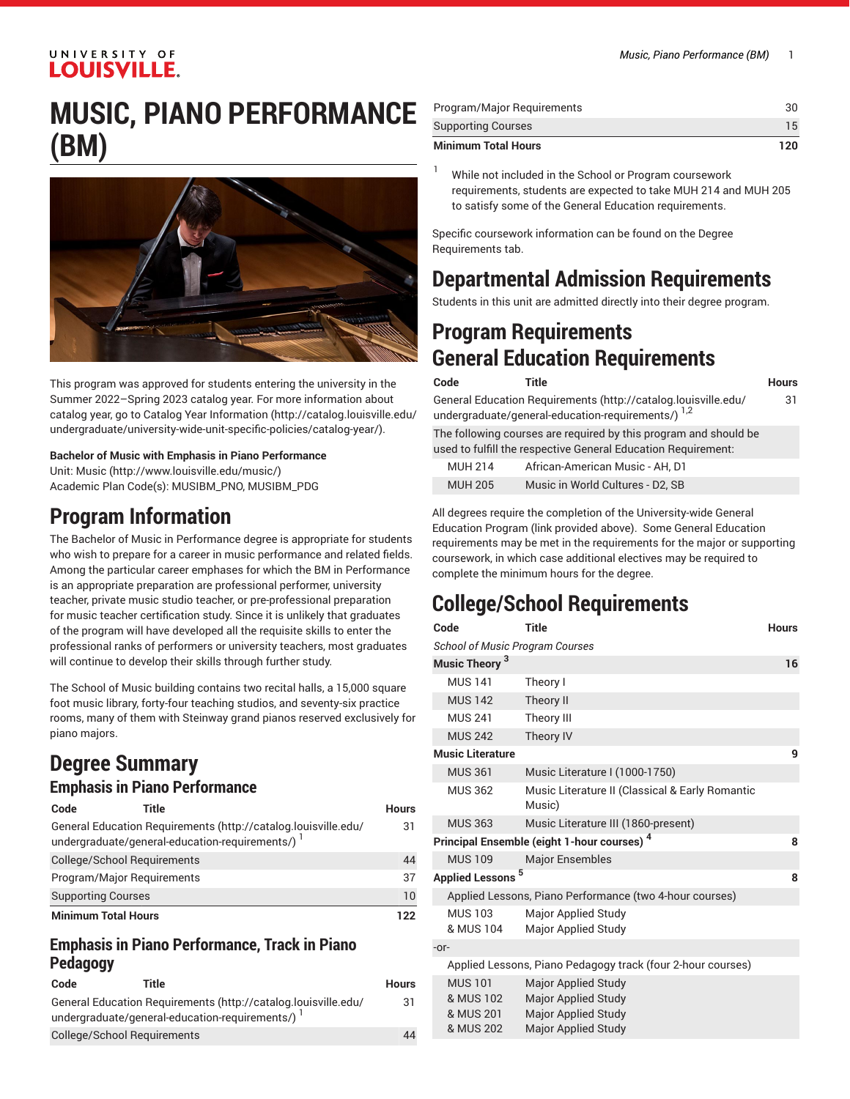### UNIVERSITY OF **LOUISVILLE**

# **MUSIC, PIANO PERFORMANCE (BM)**



This program was approved for students entering the university in the Summer 2022–Spring 2023 catalog year. For more information about catalog year, go to Catalog Year [Information](http://catalog.louisville.edu/undergraduate/university-wide-unit-specific-policies/catalog-year/) ([http://catalog.louisville.edu/](http://catalog.louisville.edu/undergraduate/university-wide-unit-specific-policies/catalog-year/) [undergraduate/university-wide-unit-specific-policies/catalog-year/](http://catalog.louisville.edu/undergraduate/university-wide-unit-specific-policies/catalog-year/)).

**Bachelor of Music with Emphasis in Piano Performance** Unit: [Music \(http://www.louisville.edu/music/](http://www.louisville.edu/music/)) Academic Plan Code(s): MUSIBM\_PNO, MUSIBM\_PDG

### **Program Information**

The Bachelor of Music in Performance degree is appropriate for students who wish to prepare for a career in music performance and related fields. Among the particular career emphases for which the BM in Performance is an appropriate preparation are professional performer, university teacher, private music studio teacher, or pre-professional preparation for music teacher certification study. Since it is unlikely that graduates of the program will have developed all the requisite skills to enter the professional ranks of performers or university teachers, most graduates will continue to develop their skills through further study.

The School of Music building contains two recital halls, a 15,000 square foot music library, forty-four teaching studios, and seventy-six practice rooms, many of them with Steinway grand pianos reserved exclusively for piano majors.

# **Degree Summary**

#### **Emphasis in Piano Performance**

| Code                        | Title                                                                                                            | <b>Hours</b> |
|-----------------------------|------------------------------------------------------------------------------------------------------------------|--------------|
|                             | General Education Requirements (http://catalog.louisville.edu/<br>undergraduate/general-education-requirements/) | 31           |
| College/School Requirements |                                                                                                                  | 44           |
| Program/Major Reguirements  |                                                                                                                  | 37           |
| <b>Supporting Courses</b>   |                                                                                                                  | 10           |
| <b>Minimum Total Hours</b>  |                                                                                                                  | 122          |

#### **Emphasis in Piano Performance, Track in Piano Pedagogy**

| Code | Title                                                          | <b>Hours</b> |
|------|----------------------------------------------------------------|--------------|
|      | General Education Requirements (http://catalog.louisville.edu/ | 31           |
|      | undergraduate/general-education-requirements/)                 |              |
|      | College/School Requirements                                    | 44           |

| <b>Minimum Total Hours</b> | 120. |
|----------------------------|------|
| <b>Supporting Courses</b>  | 15   |
| Program/Major Reguirements |      |

While not included in the School or Program coursework requirements, students are expected to take MUH 214 and MUH 205 to satisfy some of the General Education requirements.

Specific coursework information can be found on the Degree Requirements tab.

### **Departmental Admission Requirements**

Students in this unit are admitted directly into their degree program.

### **Program Requirements General Education Requirements**

| Code | Title                                                                                                                           | <b>Hours</b> |
|------|---------------------------------------------------------------------------------------------------------------------------------|--------------|
|      | General Education Requirements (http://catalog.louisville.edu/<br>undergraduate/general-education-requirements/) <sup>1,2</sup> | 31           |
|      | The following courses are required by this program and should be                                                                |              |

used to fulfill the respective General Education Requirement:

| <b>MUH 214</b> | African-American Music - AH. D1  |
|----------------|----------------------------------|
| <b>MUH 205</b> | Music in World Cultures - D2, SB |

All degrees require the completion of the University-wide General Education Program (link provided above). Some General Education requirements may be met in the requirements for the major or supporting coursework, in which case additional electives may be required to complete the minimum hours for the degree.

# **College/School Requirements**

| Code                                                        | <b>Title</b>                                                                                                  | <b>Hours</b> |
|-------------------------------------------------------------|---------------------------------------------------------------------------------------------------------------|--------------|
| <b>School of Music Program Courses</b>                      |                                                                                                               |              |
| Music Theory <sup>3</sup>                                   |                                                                                                               | 16           |
| <b>MUS 141</b>                                              | Theory I                                                                                                      |              |
| <b>MUS 142</b>                                              | Theory II                                                                                                     |              |
| <b>MUS 241</b>                                              | Theory III                                                                                                    |              |
| <b>MUS 242</b>                                              | Theory IV                                                                                                     |              |
| <b>Music Literature</b>                                     |                                                                                                               | 9            |
| <b>MUS 361</b>                                              | Music Literature I (1000-1750)                                                                                |              |
| <b>MUS 362</b>                                              | Music Literature II (Classical & Early Romantic<br>Music)                                                     |              |
| <b>MUS 363</b>                                              | Music Literature III (1860-present)                                                                           |              |
| Principal Ensemble (eight 1-hour courses) <sup>4</sup>      |                                                                                                               | 8            |
| <b>MUS 109</b>                                              | <b>Major Ensembles</b>                                                                                        |              |
| <b>Applied Lessons</b>                                      | 5                                                                                                             | 8            |
|                                                             | Applied Lessons, Piano Performance (two 4-hour courses)                                                       |              |
| <b>MUS 103</b><br>& MUS 104                                 | <b>Major Applied Study</b><br>Major Applied Study                                                             |              |
| $-0r-$                                                      |                                                                                                               |              |
| Applied Lessons, Piano Pedagogy track (four 2-hour courses) |                                                                                                               |              |
| <b>MUS 101</b><br>& MUS 102<br>& MUS 201<br>& MUS 202       | <b>Major Applied Study</b><br><b>Major Applied Study</b><br><b>Major Applied Study</b><br>Major Applied Study |              |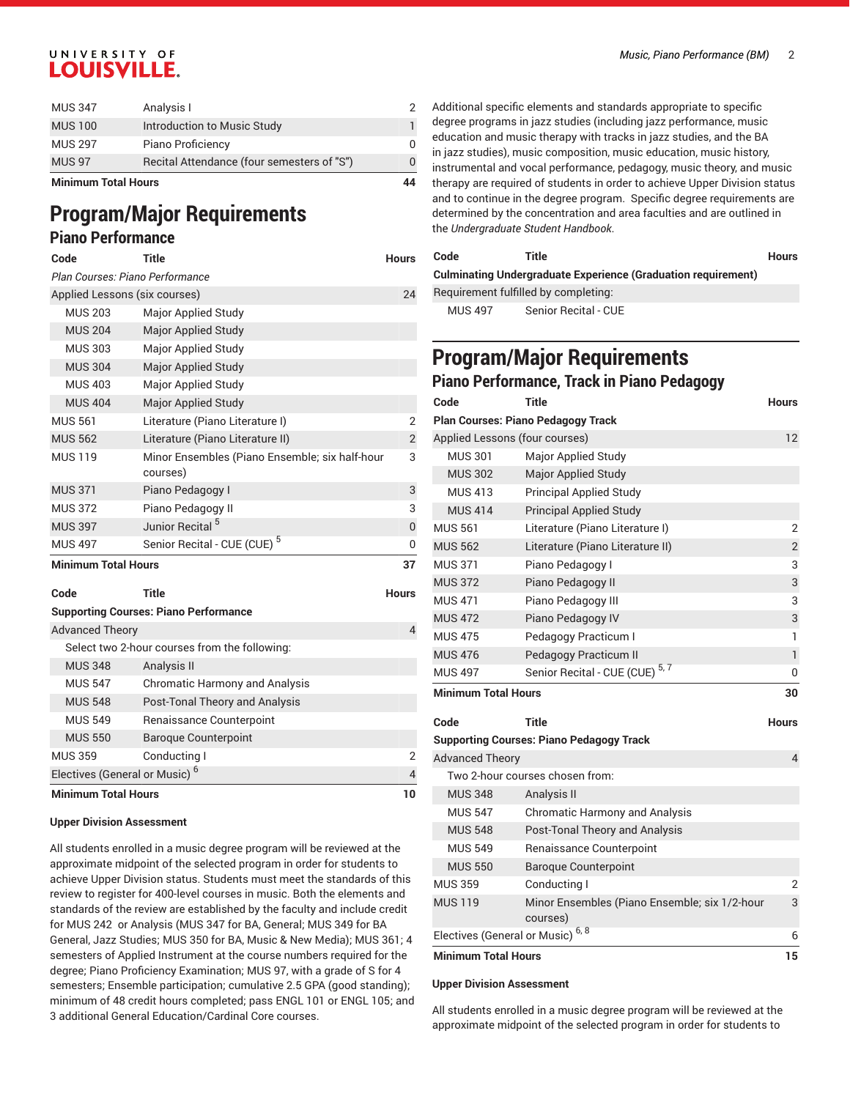### UNIVERSITY OF **LOUISVILLE.**

| <b>Minimum Total Hours</b> |                                            | 44 |
|----------------------------|--------------------------------------------|----|
| <b>MUS 97</b>              | Recital Attendance (four semesters of "S") |    |
| <b>MUS 297</b>             | Piano Proficiency                          |    |
| <b>MUS 100</b>             | Introduction to Music Study                |    |
| <b>MUS 347</b>             | Analysis I                                 |    |

# **Program/Major Requirements**

### **Piano Performance**

| Code                            | Title                                                      | <b>Hours</b>   |
|---------------------------------|------------------------------------------------------------|----------------|
| Plan Courses: Piano Performance |                                                            |                |
| Applied Lessons (six courses)   |                                                            | 24             |
| <b>MUS 203</b>                  | Major Applied Study                                        |                |
| <b>MUS 204</b>                  | <b>Major Applied Study</b>                                 |                |
| <b>MUS 303</b>                  | Major Applied Study                                        |                |
| <b>MUS 304</b>                  | <b>Major Applied Study</b>                                 |                |
| <b>MUS 403</b>                  | Major Applied Study                                        |                |
| <b>MUS 404</b>                  | Major Applied Study                                        |                |
| <b>MUS 561</b>                  | Literature (Piano Literature I)                            | 2              |
| <b>MUS 562</b>                  | Literature (Piano Literature II)                           | $\overline{2}$ |
| <b>MUS 119</b>                  | Minor Ensembles (Piano Ensemble; six half-hour<br>courses) | 3              |
| <b>MUS 371</b>                  | Piano Pedagogy I                                           | 3              |
| <b>MUS 372</b>                  | Piano Pedagogy II                                          | 3              |
| <b>MUS 397</b>                  | Junior Recital <sup>5</sup>                                | $\Omega$       |
| <b>MUS 497</b>                  | Senior Recital - CUE (CUE) <sup>5</sup>                    | $\Omega$       |
| <b>Minimum Total Hours</b>      |                                                            | 37             |
| Code                            | <b>Title</b>                                               | <b>Hours</b>   |
|                                 | <b>Supporting Courses: Piano Performance</b>               |                |

| <b>Minimum Total Hours</b>                    |                                       |   |
|-----------------------------------------------|---------------------------------------|---|
| Electives (General or Music) <sup>6</sup>     |                                       | 4 |
| <b>MUS 359</b>                                | Conducting I                          | 2 |
| <b>MUS 550</b>                                | <b>Baroque Counterpoint</b>           |   |
| <b>MUS 549</b>                                | Renaissance Counterpoint              |   |
| <b>MUS 548</b>                                | Post-Tonal Theory and Analysis        |   |
| <b>MUS 547</b>                                | <b>Chromatic Harmony and Analysis</b> |   |
| <b>MUS 348</b>                                | Analysis II                           |   |
| Select two 2-hour courses from the following: |                                       |   |
| <b>Advanced Theory</b>                        |                                       |   |
|                                               |                                       |   |

#### **Upper Division Assessment**

All students enrolled in a music degree program will be reviewed at the approximate midpoint of the selected program in order for students to achieve Upper Division status. Students must meet the standards of this review to register for 400-level courses in music. Both the elements and standards of the review are established by the faculty and include credit for MUS 242 or Analysis (MUS 347 for BA, General; MUS 349 for BA General, Jazz Studies; MUS 350 for BA, Music & New Media); MUS 361; 4 semesters of Applied Instrument at the course numbers required for the degree; Piano Proficiency Examination; MUS 97, with a grade of S for 4 semesters; Ensemble participation; cumulative 2.5 GPA (good standing); minimum of 48 credit hours completed; pass ENGL 101 or ENGL 105; and 3 additional General Education/Cardinal Core courses.

Additional specific elements and standards appropriate to specific degree programs in jazz studies (including jazz performance, music education and music therapy with tracks in jazz studies, and the BA in jazz studies), music composition, music education, music history, instrumental and vocal performance, pedagogy, music theory, and music therapy are required of students in order to achieve Upper Division status and to continue in the degree program. Specific degree requirements are determined by the concentration and area faculties and are outlined in the *Undergraduate Student Handbook*.

| Code                                                                 | Title                | <b>Hours</b> |
|----------------------------------------------------------------------|----------------------|--------------|
| <b>Culminating Undergraduate Experience (Graduation requirement)</b> |                      |              |
| Requirement fulfilled by completing:                                 |                      |              |
| MUS 497                                                              | Senior Recital - CUE |              |

# **Program/Major Requirements**

| Piano Performance, Track in Piano Pedagogy      |                                           |                         |  |
|-------------------------------------------------|-------------------------------------------|-------------------------|--|
| Code                                            | <b>Title</b>                              | <b>Hours</b>            |  |
|                                                 | <b>Plan Courses: Piano Pedagogy Track</b> |                         |  |
|                                                 | Applied Lessons (four courses)            | 12                      |  |
| <b>MUS 301</b>                                  | Major Applied Study                       |                         |  |
| <b>MUS 302</b>                                  | Major Applied Study                       |                         |  |
| <b>MUS 413</b>                                  | <b>Principal Applied Study</b>            |                         |  |
| <b>MUS 414</b>                                  | <b>Principal Applied Study</b>            |                         |  |
| <b>MUS 561</b>                                  | Literature (Piano Literature I)           | $\overline{2}$          |  |
| <b>MUS 562</b>                                  | Literature (Piano Literature II)          | $\overline{\mathbf{c}}$ |  |
| <b>MUS 371</b>                                  | Piano Pedagogy I                          | 3                       |  |
| <b>MUS 372</b>                                  | Piano Pedagogy II                         | 3                       |  |
| <b>MUS 471</b>                                  | Piano Pedagogy III                        | 3                       |  |
| <b>MUS 472</b>                                  | Piano Pedagogy IV                         | 3                       |  |
| <b>MUS 475</b>                                  | Pedagogy Practicum I                      | 1                       |  |
| <b>MUS 476</b>                                  | Pedagogy Practicum II                     | $\mathbf{1}$            |  |
| <b>MUS 497</b>                                  | Senior Recital - CUE (CUE) <sup>5,7</sup> | 0                       |  |
| <b>Minimum Total Hours</b>                      |                                           | 30                      |  |
| Code                                            | <b>Title</b>                              | <b>Hours</b>            |  |
| <b>Supporting Courses: Piano Pedagogy Track</b> |                                           |                         |  |
| <b>Advanced Theory</b>                          |                                           | $\overline{4}$          |  |
| Two 2-hour courses chosen from:                 |                                           |                         |  |

| <b>Minimum Total Hours</b>                   |                                                           | 15 |
|----------------------------------------------|-----------------------------------------------------------|----|
| Electives (General or Music) <sup>6, 8</sup> |                                                           | 6  |
| <b>MUS 119</b>                               | Minor Ensembles (Piano Ensemble; six 1/2-hour<br>courses) | 3  |
| <b>MUS 359</b>                               | Conducting I                                              | 2  |
| <b>MUS 550</b>                               | <b>Baroque Counterpoint</b>                               |    |
| <b>MUS 549</b>                               | Renaissance Counterpoint                                  |    |
| <b>MUS 548</b>                               | Post-Tonal Theory and Analysis                            |    |
| <b>MUS 547</b>                               | Chromatic Harmony and Analysis                            |    |
| <b>MUS 348</b>                               | Analysis II                                               |    |
|                                              | Two 2-hour courses chosen from:                           |    |
|                                              |                                                           |    |

#### **Upper Division Assessment**

All students enrolled in a music degree program will be reviewed at the approximate midpoint of the selected program in order for students to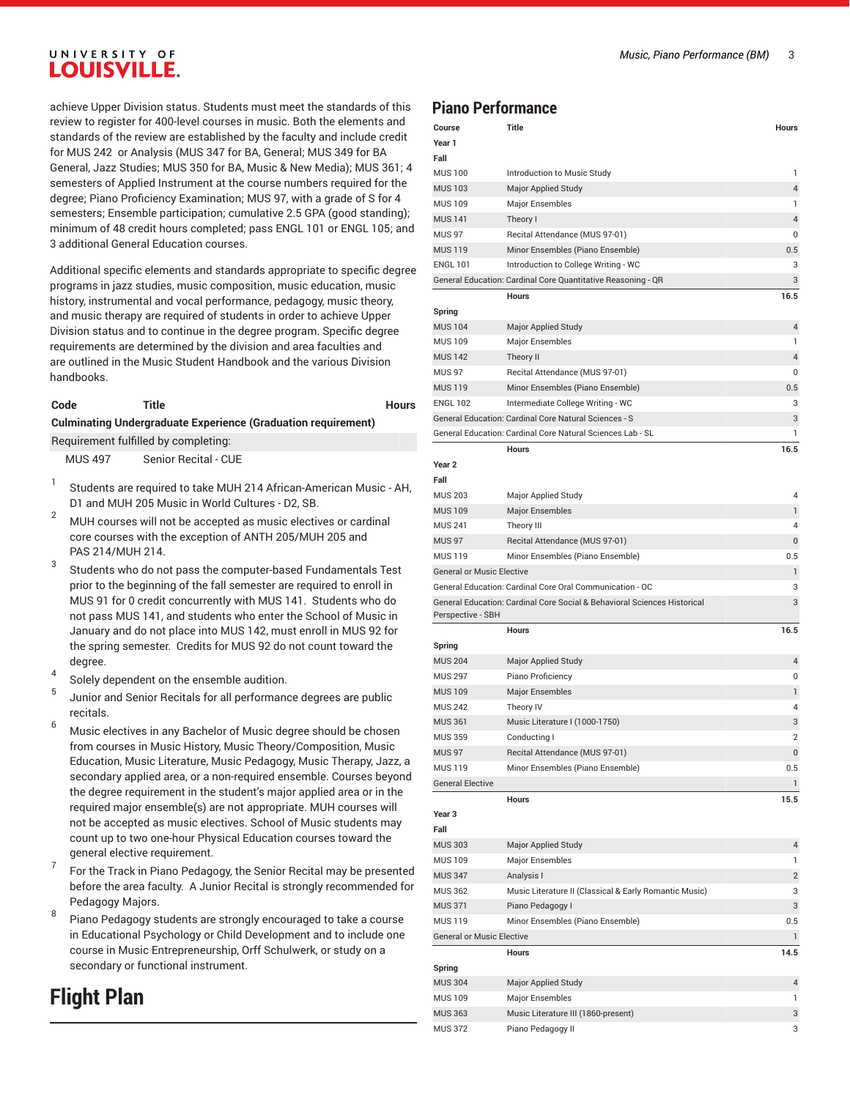### UNIVERSITY OF **LOUISVILLE.**

achieve Upper Division status. Students must meet the standards of this review to register for 400-level courses in music. Both the elements and standards of the review are established by the faculty and include credit for MUS 242 or Analysis (MUS 347 for BA, General; MUS 349 for BA General, Jazz Studies; MUS 350 for BA, Music & New Media); MUS 361; 4 semesters of Applied Instrument at the course numbers required for the degree; Piano Proficiency Examination; MUS 97, with a grade of S for 4 semesters; Ensemble participation; cumulative 2.5 GPA (good standing); minimum of 48 credit hours completed; pass ENGL 101 or ENGL 105; and 3 additional General Education courses.

Additional specific elements and standards appropriate to specific degree programs in jazz studies, music composition, music education, music history, instrumental and vocal performance, pedagogy, music theory, and music therapy are required of students in order to achieve Upper Division status and to continue in the degree program. Specific degree requirements are determined by the division and area faculties and are outlined in the Music Student Handbook and the various Division handbooks.

#### **Code Title Hours**

**Culminating Undergraduate Experience (Graduation requirement)**

Requirement fulfilled by completing:

MUS 497 Senior Recital - CUE

- 1 Students are required to take MUH 214 African-American Music - AH, D1 and MUH 205 Music in World Cultures - D2, SB.
- <sup>2</sup> MUH courses will not be accepted as music electives or cardinal core courses with the exception of ANTH 205/MUH 205 and PAS 214/MUH 214.
- 3 Students who do not pass the computer-based Fundamentals Test prior to the beginning of the fall semester are required to enroll in MUS 91 for 0 credit concurrently with MUS 141. Students who do not pass MUS 141, and students who enter the School of Music in January and do not place into MUS 142, must enroll in MUS 92 for the spring semester. Credits for MUS 92 do not count toward the degree.
- 4 Solely dependent on the ensemble audition.
- 5 Junior and Senior Recitals for all performance degrees are public recitals.
- <sup>6</sup> Music electives in any Bachelor of Music degree should be chosen from courses in Music History, Music Theory/Composition, Music Education, Music Literature, Music Pedagogy, Music Therapy, Jazz, a secondary applied area, or a non-required ensemble. Courses beyond the degree requirement in the student's major applied area or in the required major ensemble(s) are not appropriate. MUH courses will not be accepted as music electives. School of Music students may count up to two one-hour Physical Education courses toward the general elective requirement.
- 7 For the Track in Piano Pedagogy, the Senior Recital may be presented before the area faculty. A Junior Recital is strongly recommended for Pedagogy Majors.
- 8 Piano Pedagogy students are strongly encouraged to take a course in Educational Psychology or Child Development and to include one course in Music Entrepreneurship, Orff Schulwerk, or study on a secondary or functional instrument.

# **Flight Plan**

#### **Piano Performance**

| Course                           | Title                                                                    | <b>Hours</b>            |
|----------------------------------|--------------------------------------------------------------------------|-------------------------|
| Year 1                           |                                                                          |                         |
| Fall                             |                                                                          |                         |
| <b>MUS 100</b>                   | Introduction to Music Study                                              | 1                       |
| <b>MUS 103</b>                   | <b>Major Applied Study</b>                                               | $\overline{\mathbf{4}}$ |
| <b>MUS 109</b>                   | <b>Major Ensembles</b>                                                   | 1                       |
| <b>MUS 141</b>                   | Theory I                                                                 | 4                       |
| <b>MUS 97</b>                    | Recital Attendance (MUS 97-01)                                           | 0                       |
| <b>MUS 119</b>                   | Minor Ensembles (Piano Ensemble)                                         | 0.5                     |
| <b>ENGL 101</b>                  | Introduction to College Writing - WC                                     | 3                       |
|                                  | General Education: Cardinal Core Quantitative Reasoning - QR             | 3                       |
|                                  | <b>Hours</b>                                                             | 16.5                    |
| Spring                           |                                                                          |                         |
| <b>MUS 104</b>                   | <b>Major Applied Study</b>                                               | $\overline{4}$          |
| <b>MUS 109</b>                   | Major Ensembles                                                          | $\mathbf{1}$            |
| <b>MUS 142</b>                   | Theory II                                                                | 4                       |
| <b>MUS 97</b>                    | Recital Attendance (MUS 97-01)                                           | 0                       |
| <b>MUS 119</b>                   | Minor Ensembles (Piano Ensemble)                                         | 0.5                     |
| <b>ENGL 102</b>                  | Intermediate College Writing - WC                                        | 3                       |
|                                  | General Education: Cardinal Core Natural Sciences - S                    | 3                       |
|                                  | General Education: Cardinal Core Natural Sciences Lab - SL               | 1                       |
|                                  | <b>Hours</b>                                                             | 16.5                    |
| Year <sub>2</sub>                |                                                                          |                         |
| Fall                             |                                                                          |                         |
| <b>MUS 203</b>                   | Major Applied Study                                                      | 4                       |
| <b>MUS 109</b>                   | <b>Major Ensembles</b>                                                   | $\mathbf{1}$            |
| <b>MUS 241</b>                   | Theory III                                                               | 4                       |
| <b>MUS 97</b>                    | Recital Attendance (MUS 97-01)                                           | 0                       |
| <b>MUS 119</b>                   | Minor Ensembles (Piano Ensemble)                                         | 0.5                     |
| <b>General or Music Elective</b> |                                                                          | 1                       |
|                                  | General Education: Cardinal Core Oral Communication - OC                 | 3                       |
|                                  | General Education: Cardinal Core Social & Behavioral Sciences Historical | 3                       |
| Perspective - SBH                |                                                                          |                         |
|                                  | Hours                                                                    | 16.5                    |
| Spring                           |                                                                          |                         |
| <b>MUS 204</b>                   | <b>Major Applied Study</b>                                               | 4                       |
| <b>MUS 297</b>                   | Piano Proficiency                                                        | 0                       |
| <b>MUS 109</b>                   | <b>Major Ensembles</b>                                                   | 1                       |
| <b>MUS 242</b>                   | Theory IV                                                                | 4                       |
| <b>MUS 361</b>                   | Music Literature I (1000-1750)                                           | 3                       |
| <b>MUS 359</b>                   | Conducting I                                                             | $\overline{2}$          |
| <b>MUS 97</b>                    | Recital Attendance (MUS 97-01)                                           | 0                       |
| <b>MUS 119</b>                   | Minor Ensembles (Piano Ensemble)                                         | 0.5                     |
| <b>General Elective</b>          |                                                                          | $\mathbf{1}$            |
|                                  | Hours                                                                    | 15.5                    |
| Year 3                           |                                                                          |                         |
| Fall                             |                                                                          |                         |
| <b>MUS 303</b>                   | Major Applied Study                                                      | 4                       |
| <b>MUS 109</b>                   | Major Ensembles                                                          | $\mathbf{1}$            |
|                                  |                                                                          |                         |
| <b>MUS 347</b>                   | Analysis I                                                               | $\overline{c}$          |
| <b>MUS 362</b>                   | Music Literature II (Classical & Early Romantic Music)                   | 3                       |
| <b>MUS 371</b>                   | Piano Pedagogy I                                                         | 3                       |
| <b>MUS 119</b>                   | Minor Ensembles (Piano Ensemble)                                         | 0.5                     |
| <b>General or Music Elective</b> |                                                                          | $\mathbf{1}$            |
| Spring                           | <b>Hours</b>                                                             | 14.5                    |
| <b>MUS 304</b>                   | Major Applied Study                                                      | 4                       |
| <b>MUS 109</b>                   | Major Ensembles                                                          | 1                       |
| <b>MUS 363</b>                   | Music Literature III (1860-present)                                      | 3                       |
| <b>MUS 372</b>                   | Piano Pedagogy II                                                        | 3                       |
|                                  |                                                                          |                         |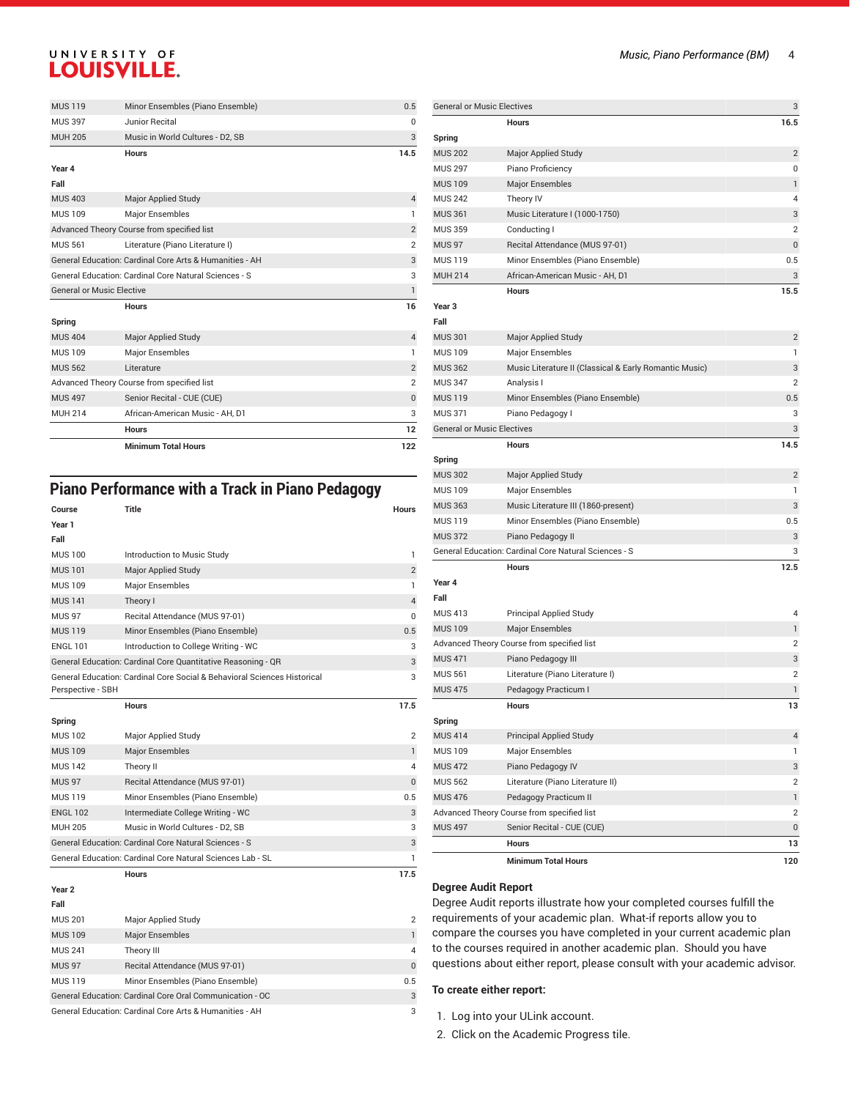### UNIVERSITY OF **LOUISVILLE.**

|                                                                                                                  | <b>Minimum Total Hours</b>                 | 122                              |
|------------------------------------------------------------------------------------------------------------------|--------------------------------------------|----------------------------------|
|                                                                                                                  | <b>Hours</b>                               | 12                               |
| <b>MUH 214</b>                                                                                                   | African-American Music - AH. D1            | 3                                |
| <b>MUS 497</b>                                                                                                   | Senior Recital - CUE (CUE)                 | $\mathbf{0}$                     |
| Advanced Theory Course from specified list                                                                       |                                            | $\overline{2}$                   |
| <b>MUS 562</b>                                                                                                   | Literature                                 | $\overline{2}$                   |
| <b>MUS 109</b>                                                                                                   | Major Ensembles                            | 1                                |
| <b>MUS 404</b>                                                                                                   | Major Applied Study                        | $\overline{4}$                   |
| Spring                                                                                                           |                                            |                                  |
|                                                                                                                  | <b>Hours</b>                               | 16                               |
| General or Music Elective                                                                                        |                                            | 1                                |
| General Education: Cardinal Core Arts & Humanities - AH<br>General Education: Cardinal Core Natural Sciences - S |                                            | 3                                |
|                                                                                                                  | Literature (Piano Literature I)            | 3                                |
| <b>MUS 561</b>                                                                                                   | Advanced Theory Course from specified list | $\overline{2}$<br>$\overline{2}$ |
| <b>MUS 109</b>                                                                                                   | Major Ensembles                            | 1                                |
| <b>MUS 403</b>                                                                                                   | Major Applied Study                        | $\overline{4}$                   |
| Fall                                                                                                             |                                            |                                  |
| Year 4                                                                                                           |                                            |                                  |
|                                                                                                                  | <b>Hours</b>                               | 14.5                             |
| <b>MUH 205</b>                                                                                                   | Music in World Cultures - D2, SB           | 3                                |
| <b>MUS 397</b>                                                                                                   | Junior Recital                             | 0                                |
| <b>MUS 119</b>                                                                                                   | Minor Ensembles (Piano Ensemble)           | 0.5                              |

### **Piano Performance with a Track in Piano Pedagogy**

| Course            | <b>Title</b>                                                             | <b>Hours</b>   |
|-------------------|--------------------------------------------------------------------------|----------------|
| Year 1            |                                                                          |                |
| Fall              |                                                                          |                |
| <b>MUS 100</b>    | Introduction to Music Study                                              | 1              |
| <b>MUS101</b>     | Major Applied Study                                                      | $\overline{2}$ |
| <b>MUS 109</b>    | Major Ensembles                                                          | $\mathbf{1}$   |
| <b>MUS 141</b>    | Theory I                                                                 | $\overline{4}$ |
| <b>MUS 97</b>     | Recital Attendance (MUS 97-01)                                           | 0              |
| <b>MUS 119</b>    | Minor Ensembles (Piano Ensemble)                                         | 0.5            |
| <b>ENGL 101</b>   | Introduction to College Writing - WC                                     | 3              |
|                   | General Education: Cardinal Core Quantitative Reasoning - QR             | 3              |
|                   | General Education: Cardinal Core Social & Behavioral Sciences Historical | 3              |
| Perspective - SBH |                                                                          |                |
|                   | <b>Hours</b>                                                             | 17.5           |
| Spring            |                                                                          |                |
| <b>MUS 102</b>    | Major Applied Study                                                      | 2              |
| <b>MUS 109</b>    | <b>Major Ensembles</b>                                                   | $\mathbf{1}$   |
| <b>MUS 142</b>    | Theory II                                                                | 4              |
| <b>MUS 97</b>     | Recital Attendance (MUS 97-01)                                           | $\mathbf{0}$   |
| <b>MUS 119</b>    | Minor Ensembles (Piano Ensemble)                                         | 0.5            |
| <b>ENGL 102</b>   | Intermediate College Writing - WC                                        | 3              |
| MUH 205           | Music in World Cultures - D2, SB                                         | 3              |
|                   | General Education: Cardinal Core Natural Sciences - S                    | 3              |
|                   | General Education: Cardinal Core Natural Sciences Lab - SL               | $\mathbf{1}$   |
|                   | <b>Hours</b>                                                             | 17.5           |
| Year <sub>2</sub> |                                                                          |                |
| Fall              |                                                                          |                |
| <b>MUS 201</b>    | Major Applied Study                                                      | $\overline{2}$ |

| <b>MUS 109</b>                                           | <b>Major Ensembles</b>           |          |
|----------------------------------------------------------|----------------------------------|----------|
| <b>MUS 241</b>                                           | Theory III                       | 4        |
| <b>MUS 97</b>                                            | Recital Attendance (MUS 97-01)   | $\Omega$ |
| <b>MUS 119</b>                                           | Minor Ensembles (Piano Ensemble) | 0.5      |
| General Education: Cardinal Core Oral Communication - OC |                                  |          |
| General Education: Cardinal Core Arts & Humanities - AH  |                                  |          |

| <b>General or Music Electives</b> |                                                        |                |  |  |
|-----------------------------------|--------------------------------------------------------|----------------|--|--|
|                                   | <b>Hours</b>                                           | 16.5           |  |  |
| Spring                            |                                                        |                |  |  |
| <b>MUS 202</b>                    | <b>Major Applied Study</b>                             | $\overline{2}$ |  |  |
| <b>MUS 297</b>                    | Piano Proficiency                                      | 0              |  |  |
| <b>MUS 109</b>                    | <b>Major Ensembles</b>                                 | 1              |  |  |
| <b>MUS 242</b>                    | Theory IV                                              | 4              |  |  |
| <b>MUS 361</b>                    | Music Literature I (1000-1750)                         | 3              |  |  |
| <b>MUS 359</b>                    | Conducting I                                           | $\overline{2}$ |  |  |
| <b>MUS 97</b>                     | Recital Attendance (MUS 97-01)                         | 0              |  |  |
| <b>MUS 119</b>                    | Minor Ensembles (Piano Ensemble)                       | 0.5            |  |  |
| <b>MUH 214</b>                    | African-American Music - AH, D1                        | 3              |  |  |
|                                   | <b>Hours</b>                                           | 15.5           |  |  |
| Year 3                            |                                                        |                |  |  |
| Fall                              |                                                        |                |  |  |
| <b>MUS 301</b>                    | <b>Major Applied Study</b>                             | $\overline{2}$ |  |  |
| <b>MUS 109</b>                    | Major Ensembles                                        | 1              |  |  |
| <b>MUS 362</b>                    | Music Literature II (Classical & Early Romantic Music) | 3              |  |  |
| <b>MUS 347</b>                    | Analysis I                                             | 2              |  |  |
| <b>MUS 119</b>                    | Minor Ensembles (Piano Ensemble)                       | 0.5            |  |  |
| <b>MUS 371</b>                    | Piano Pedagogy I                                       | 3              |  |  |
| <b>General or Music Electives</b> |                                                        | 3              |  |  |
|                                   | <b>Hours</b>                                           | 14.5           |  |  |
| Spring                            |                                                        |                |  |  |
| <b>MUS 302</b>                    | <b>Major Applied Study</b>                             | $\overline{2}$ |  |  |
| <b>MUS 109</b>                    | Major Ensembles                                        | 1              |  |  |
| <b>MUS 363</b>                    | Music Literature III (1860-present)                    | 3              |  |  |
| <b>MUS 119</b>                    | Minor Ensembles (Piano Ensemble)                       | 0.5            |  |  |
| <b>MUS 372</b>                    | Piano Pedagogy II                                      | 3              |  |  |
|                                   | General Education: Cardinal Core Natural Sciences - S  | 3              |  |  |
|                                   | <b>Hours</b>                                           | 12.5           |  |  |
| Year 4                            |                                                        |                |  |  |
| Fall                              |                                                        |                |  |  |
| <b>MUS 413</b>                    | <b>Principal Applied Study</b>                         | 4              |  |  |
| <b>MUS 109</b>                    | <b>Major Ensembles</b>                                 | 1              |  |  |
|                                   | Advanced Theory Course from specified list             | $\overline{2}$ |  |  |
| <b>MUS 471</b>                    | Piano Pedagogy III                                     | 3              |  |  |
| <b>MUS 561</b>                    | Literature (Piano Literature I)                        | $\overline{2}$ |  |  |
| <b>MUS 475</b>                    | Pedagogy Practicum I                                   | 1              |  |  |
|                                   | Hours                                                  | 13             |  |  |
| Spring                            |                                                        |                |  |  |
| <b>MUS 414</b>                    | <b>Principal Applied Study</b>                         | 4              |  |  |
| <b>MUS 109</b>                    | Major Ensembles                                        | 1              |  |  |
| <b>MUS 472</b>                    | Piano Pedagogy IV                                      | 3              |  |  |
| <b>MUS 562</b>                    | Literature (Piano Literature II)                       | $\overline{2}$ |  |  |
| <b>MUS 476</b>                    | Pedagogy Practicum II                                  | 1              |  |  |
|                                   | Advanced Theory Course from specified list             | $\overline{c}$ |  |  |
| <b>MUS 497</b>                    | Senior Recital - CUE (CUE)                             | 0              |  |  |
|                                   |                                                        |                |  |  |
|                                   | Hours                                                  | 13             |  |  |
|                                   | <b>Minimum Total Hours</b>                             | 120            |  |  |

#### **Degree Audit Report**

Degree Audit reports illustrate how your completed courses fulfill the requirements of your academic plan. What-if reports allow you to compare the courses you have completed in your current academic plan to the courses required in another academic plan. Should you have questions about either report, please consult with your academic advisor.

#### **To create either report:**

- 1. Log into your ULink account.
- 2. Click on the Academic Progress tile.